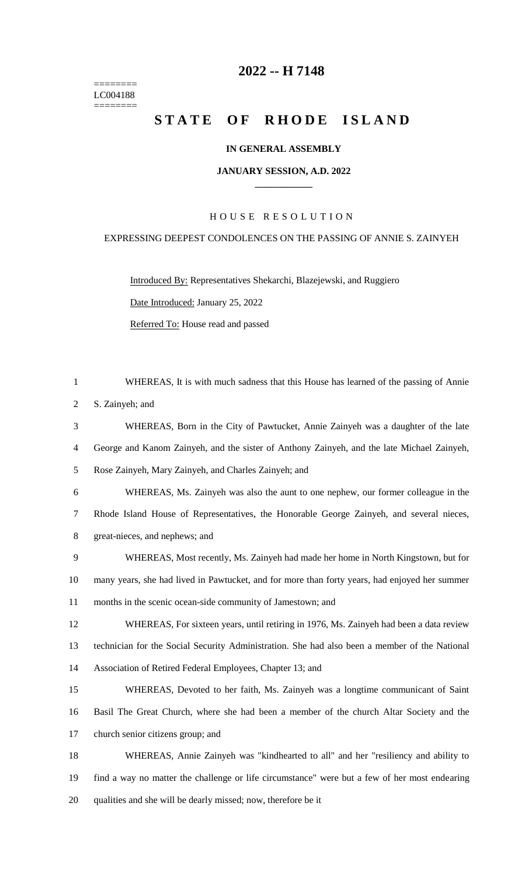======== LC004188  $=$ 

## **-- H 7148**

# STATE OF RHODE ISLAND

## **IN GENERAL ASSEMBLY**

#### **JANUARY SESSION, A.D. 2022 \_\_\_\_\_\_\_\_\_\_\_\_**

## H O U S E R E S O L U T I O N

## EXPRESSING DEEPEST CONDOLENCES ON THE PASSING OF ANNIE S. ZAINYEH

Introduced By: Representatives Shekarchi, Blazejewski, and Ruggiero

Date Introduced: January 25, 2022

Referred To: House read and passed

| $\mathbf{1}$   | WHEREAS, It is with much sadness that this House has learned of the passing of Annie          |
|----------------|-----------------------------------------------------------------------------------------------|
| $\overline{2}$ | S. Zainyeh; and                                                                               |
| 3              | WHEREAS, Born in the City of Pawtucket, Annie Zainyeh was a daughter of the late              |
| $\overline{4}$ | George and Kanom Zainyeh, and the sister of Anthony Zainyeh, and the late Michael Zainyeh,    |
| $\mathfrak{S}$ | Rose Zainyeh, Mary Zainyeh, and Charles Zainyeh; and                                          |
| 6              | WHEREAS, Ms. Zainyeh was also the aunt to one nephew, our former colleague in the             |
| $\tau$         | Rhode Island House of Representatives, the Honorable George Zainyeh, and several nieces,      |
| 8              | great-nieces, and nephews; and                                                                |
| 9              | WHEREAS, Most recently, Ms. Zainyeh had made her home in North Kingstown, but for             |
| 10             | many years, she had lived in Pawtucket, and for more than forty years, had enjoyed her summer |
| 11             | months in the scenic ocean-side community of Jamestown; and                                   |
| 12             | WHEREAS, For sixteen years, until retiring in 1976, Ms. Zainyeh had been a data review        |
| 13             | technician for the Social Security Administration. She had also been a member of the National |
| 14             | Association of Retired Federal Employees, Chapter 13; and                                     |
| 15             | WHEREAS, Devoted to her faith, Ms. Zainyeh was a longtime communicant of Saint                |
| 16             | Basil The Great Church, where she had been a member of the church Altar Society and the       |
| 17             | church senior citizens group; and                                                             |
| 18             | WHEREAS, Annie Zainyeh was "kindhearted to all" and her "resiliency and ability to            |
| 19             | find a way no matter the challenge or life circumstance" were but a few of her most endearing |
| 20             | qualities and she will be dearly missed; now, therefore be it                                 |